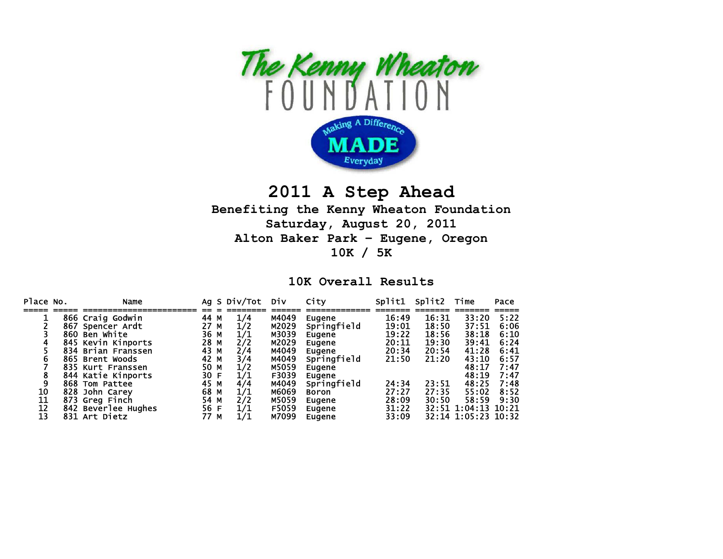

## **2011 A Step Ahead**

## **Benefiting the Kenny Wheaton Foundation Saturday, August 20, 2011 Alton Baker Park – Eugene, Oregon 10K / 5K**

## **10K Overall Results**

| Place No. | Name                |      |   | Ag S Div/Tot | Div   | City         | Split1 | Split2 | Time                | Pace |
|-----------|---------------------|------|---|--------------|-------|--------------|--------|--------|---------------------|------|
|           |                     |      |   |              |       |              |        |        |                     |      |
|           | 866 Craig Godwin    | 44   | м | 1/4          | M4049 | Eugene       | 16:49  | 16:31  | 33:20               | 5:22 |
|           | 867 Spencer Ardt    | 27 M |   | 1/2          | M2029 | Springfield  | 19:01  | 18:50  | 37:51               | 6:06 |
|           | 860 Ben White       | 36   | M | 1/1          | M3039 | Eugene       | 19:22  | 18:56  | 38:18               | 6:10 |
|           | 845 Kevin Kinports  | 28 M |   | 2/2          | M2029 | Eugene       | 20:11  | 19:30  | 39:41               | 6:24 |
|           | 834 Brian Franssen  | 43 M |   | 2/4          | M4049 | Eugene       | 20:34  | 20:54  | 41:28               | 6:41 |
| b         | 865 Brent Woods     | 42 M |   | 3/4          | M4049 | Springfield  | 21:50  | 21:20  | 43:10               | 6:57 |
|           | 835 Kurt Franssen   | 50 M |   | 1/2          | M5059 | Eugene       |        |        | 48:17               | 7:47 |
|           | 844 Katie Kinports  | 30 F |   | 1/1          | F3039 | Eugene       |        |        | 48:19               | 7:47 |
| 9         | 868 Tom Pattee      | 45 M |   | 4/4          | M4049 | Springfield  | 24:34  | 23:51  | 48:25               | 7:48 |
| 10        | 828 John Carey      | 68 M |   | 1/1          | M6069 | <b>Boron</b> | 27:27  | 27:35  | 55:02               | 8:52 |
| 11        | 873 Greg Finch      | 54 M |   | 2/2          | M5059 | Eugene       | 28:09  | 30:50  | 58:59               | 9:30 |
| 12        | 842 Beverlee Hughes | 56 F |   | 1/1          | F5059 | Eugene       | 31:22  |        | 32:51 1:04:13 10:21 |      |
| 13        | 831 Art Dietz       | 77   | м | 1/1          | M7099 | Eugene       | 33:09  |        | 32:14 1:05:23 10:32 |      |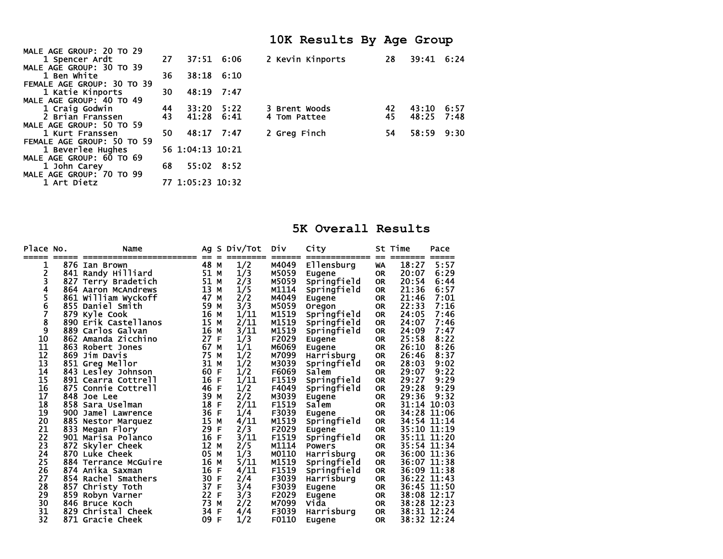|                                 |     |                  |              | 10K Results By Age Group |    |            |      |
|---------------------------------|-----|------------------|--------------|--------------------------|----|------------|------|
| <b>MALE AGE GROUP: 20 TO 29</b> |     |                  |              |                          |    |            |      |
| 1 Spencer Ardt                  | 27  |                  | 37:51 6:06   | 2 Kevin Kinports         | 28 | 39:41 6:24 |      |
| <b>MALE AGE GROUP: 30 TO 39</b> |     |                  |              |                          |    |            |      |
| 1 Ben White                     | 36. |                  | $38:18$ 6:10 |                          |    |            |      |
| FEMALE AGE GROUP: 30 TO 39      |     |                  |              |                          |    |            |      |
| 1 Katie Kinports                | 30  | 48:19 7:47       |              |                          |    |            |      |
| <b>MALE AGE GROUP: 40 TO 49</b> |     |                  |              |                          |    |            |      |
| 1 Craig Godwin                  | 44  | 33:20 5:22       |              | 3 Brent Woods            | 42 | 43:10      | 6:57 |
| 2 Brian Franssen                | 43  | 41:28            | 6:41         | 4 Tom Pattee             | 45 | 48:25      | 7:48 |
| <b>MALE AGE GROUP: 50 TO 59</b> |     |                  |              |                          |    |            |      |
| 1 Kurt Franssen                 | 50. | 48:17 7:47       |              | 2 Greg Finch             | 54 | 58:59      | 9:30 |
| FEMALE AGE GROUP: 50 TO 59      |     |                  |              |                          |    |            |      |
| 1 Beverlee Hughes               |     | 56 1:04:13 10:21 |              |                          |    |            |      |
| <b>MALE AGE GROUP: 60 TO 69</b> |     |                  |              |                          |    |            |      |
| 1 John Carey                    | 68  | 55:02 8:52       |              |                          |    |            |      |
| MALE AGE GROUP: 70 TO 99        |     |                  |              |                          |    |            |      |
| 1 Art Dietz                     |     | 77 1:05:23 10:32 |              |                          |    |            |      |

## **5K Overall Results**

| Place No. |     | Name                 | Ag<br>== | S. | Div/Tot | <b>DIV</b> | City          | ==        | St Time     | Pace  |
|-----------|-----|----------------------|----------|----|---------|------------|---------------|-----------|-------------|-------|
| 1         | 876 | Ian Brown            | 48       | M  | 1/2     | M4049      | Ellensburg    | WA        | 18:27       | 5:57  |
| 2         |     | 841 Randy Hilliard   | 51       | М  | 1/3     | M5059      | Eugene        | <b>OR</b> | 20:07       | 6:29  |
| 3         |     | 827 Terry Bradetich  | 51       | М  | 2/3     | M5059      | Springfield   | <b>OR</b> | 20:54       | 6:44  |
| 4         |     | 864 Aaron McAndrews  | 13       | М  | 1/5     | M1114      | Springfield   | <b>OR</b> | 21:36       | 6:57  |
| 5         |     | 861 William Wyckoff  | 47       | М  | 2/2     | M4049      | Eugene        | <b>OR</b> | 21:46       | 7:01  |
| 6         |     | 855 Daniel Smith     | 59       | M  | 3/3     | M5059      | Oregon        | <b>OR</b> | 22:33       | 7:16  |
| 7         | 879 | Kyle Cook            | 16       | M  | 1/11    | M1519      | Springfield   | OR        | 24:05       | 7:46  |
| 8         |     | 890 Erik Castellanos | 15       | М  | 2/11    | M1519      | Springfield   | <b>OR</b> | 24:07       | 7:46  |
| 9         | 889 | Carlos Galvan        | 16       | M  | 3/11    | M1519      | Springfield   | <b>OR</b> | 24:09       | 7:47  |
| 10        |     | 862 Amanda Zicchino  | 27       | F  | 1/3     | F2029      | Eugene        | <b>OR</b> | 25:58       | 8:22  |
| 11        | 863 | Robert Jones         | 67       | M  | 1/1     | M6069      | Eugene        | <b>OR</b> | 26:10       | 8:26  |
| 12        | 869 | Jim Davis            | 75       | M  | 1/2     | M7099      | Harrisburg    | <b>OR</b> | 26:46       | 8:37  |
| 13        |     | 851 Greg Mellor      | 31       | М  | 1/2     | M3039      | Springfield   | OR        | 28:03       | 9:02  |
| 14        |     | 843 Lesley Johnson   | 60       | F  | 1/2     | F6069      | Salem         | <b>OR</b> | 29:07       | 9:22  |
| 15        |     | 891 Cearra Cottrell  | 16       | F  | 1/11    | F1519      | Springfield   | <b>OR</b> | 29:27       | 9:29  |
| 16        |     | 875 Connie Cottrell  | 46       | F  | 1/2     | F4049      | Springfield   | <b>OR</b> | 29:28       | 9:29  |
| 17        | 848 | Joe Lee              | 39       | M  | 2/2     | M3039      | <b>Eugene</b> | <b>OR</b> | 29:36       | 9:32  |
| 18        |     | 858 Sara Uselman     | 18       | F  | 2/11    | F1519      | Salem         | <b>OR</b> | 31:14       | 10:03 |
| 19        | 900 | Jamel Lawrence       | 36       | F  | 1/4     | F3039      | Eugene        | <b>OR</b> | 34:28       | 11:06 |
| 20        | 885 | Nestor Marquez       | 15       | M  | 4/11    | M1519      | Springfield   | OR        | 34:54       | 11:14 |
| 21        |     | 833 Megan Flory      | 29       | F  | 2/3     | F2029      | Eugene        | <b>OR</b> | 35:10       | 11:19 |
| 22        |     | 901 Marisa Polanco   | 16       | F  | 3/11    | F1519      | Springfield   | <b>OR</b> | 35:11 11:20 |       |
| 23        |     | 872 Skyler Cheek     | 12       | M  | 2/5     | M1114      | <b>Powers</b> | <b>OR</b> | 35:54 11:34 |       |
| 24        |     | 870 Luke Cheek       | 05       | M  | 1/3     | M0110      | Harrisburg    | <b>OR</b> | 36:00 11:36 |       |
| 25        | 884 | Terrance McGuire     | 16       | М  | 5/11    | M1519      | Springfield   | <b>OR</b> | 36:07       | 11:38 |
| 26        |     | 874 Anika Saxman     | 16       | F  | 4/11    | F1519      | Springfield   | <b>OR</b> | 36:09       | 11:38 |
| 27        |     | 854 Rachel Smathers  | 30       | F  | 2/4     | F3039      | Harrisburg    | OR        | 36:22       | 11:43 |
| 28        | 857 | Christy Toth         | 37       | F  | 3/4     | F3039      | Eugene        | <b>OR</b> | 36:45 11:50 |       |
| 29        | 859 | Robyn Varner         | 22       | F  | 3/3     | F2029      | <b>Eugene</b> | <b>OR</b> | 38:08 12:17 |       |
| 30        |     | 846 Bruce Koch       | 73       | M  | 2/2     | M7099      | Vida          | OR        | 38:28 12:23 |       |
| 31        | 829 | Christal Cheek       | 34       | F  | 4/4     | F3039      | Harrisburg    | OR        | 38:31 12:24 |       |
| 32        |     | 871 Gracie Cheek     | 09       | F  | 1/2     | F0110      | Eugene        | <b>OR</b> | 38:32 12:24 |       |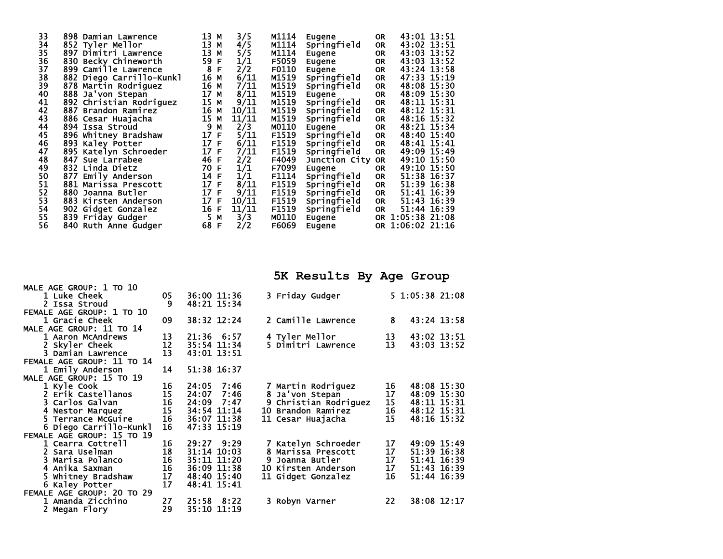| 33       | 898 Damian Lawrence      | 13<br>М  | 3/5   | M1114 | Eugene        | <b>OR</b> | 43:01 13:51      |
|----------|--------------------------|----------|-------|-------|---------------|-----------|------------------|
| 34       | 852 Tyler Mellor         | 13<br>M  | 4/5   | M1114 | Springfield   | 0R        | 43:02 13:51      |
| 35       | 897 Dimitri Lawrence     | 13<br>M  | 5/5   | M1114 | Eugene        | <b>OR</b> | 43:03 13:52      |
| 36       | 830 Becky Chineworth     | 59<br>F  | 1/1   | F5059 | Eugene        | <b>OR</b> | 43:03 13:52      |
| 37       | 899 Camille Lawrence     | 8<br>F   | 2/2   | F0110 | Eugene        | <b>OR</b> | 43:24 13:58      |
|          | 882 Diego Carrillo-Kunkl | 16<br>М  | 6/11  | M1519 | Springfield   | <b>OR</b> | 47:33 15:19      |
| 38<br>39 | 878 Martin Rodriguez     | 16<br>М  | 7/11  | M1519 | Springfield   | <b>OR</b> | 48:08 15:30      |
| 40       | 888 Ja'von Stepan        | 17<br>М  | 8/11  | M1519 | Eugene        | <b>OR</b> | 48:09 15:30      |
| 41       | 892 Christian Rodriguez  | 15<br>М  | 9/11  | M1519 | Springfield   | <b>OR</b> | 48:11 15:31      |
| 42       | 887 Brandon Ramirez      | 16<br>М  | 10/11 | M1519 | Springfield   | <b>OR</b> | 48:12 15:31      |
| 43       | 886 Cesar Huajacha       | 15<br>M  | 11/11 | M1519 | Springfield   | <b>OR</b> | 48:16 15:32      |
| 44       | 894 Issa Stroud          | 9<br>М   | 2/3   | M0110 | Eugene        | <b>OR</b> | 48:21 15:34      |
| 45       | 896 Whitney Bradshaw     | 17<br>F  | 5/11  | F1519 | Springfield   | <b>OR</b> | 48:40 15:40      |
| 46       | 893 Kaley Potter         | 17<br>-F | 6/11  | F1519 | Springfield   | OR        | 48:41 15:41      |
| 47       | 895 Katelyn Schroeder    | 17<br>F  | 7/11  | F1519 | Springfield   | <b>OR</b> | 49:09 15:49      |
| 48       | 847<br>Sue Larrabee      | 46<br>E  | 2/2   | F4049 | Junction City | <b>OR</b> | 49:10 15:50      |
| 49       | 832 Linda Dietz          | 70<br>F  | 1/1   | F7099 | Eugene        | 0R        | 49:10 15:50      |
| 50       | 877 Emily Anderson       | 14<br>F  | 1/1   | F1114 | Springfield   | <b>OR</b> | 51:38 16:37      |
| 51       | 881 Marissa Prescott     | 17<br>-F | 8/11  | F1519 | Springfield   | <b>OR</b> | 51:39 16:38      |
| 52       | 880 Joanna Butler        | 17<br>F  | 9/11  | F1519 | Springfield   | <b>OR</b> | 51:41 16:39      |
| 53       | 883 Kirsten Anderson     | 17<br>F  | 10/11 | F1519 | Springfield   | <b>OR</b> | 51:43 16:39      |
| 54       | 902 Gidget Gonzalez      | 16<br>F  | 11/11 | F1519 | Springfield   | <b>OR</b> | 51:44 16:39      |
| 55       | 839 Friday Gudger        | 5<br>М   | 3/3   | M0110 | Eugene        |           | OR 1:05:38 21:08 |
| 56       | 840 Ruth Anne Gudger     | 68<br>F  | 2/2   | F6069 | Eugene        |           | OR 1:06:02 21:16 |
|          |                          |          |       |       |               |           |                  |

**5K Results By Age Group** 

| MALL AGL GRUUF. I IV IV    |                                         |                 |                     |    |                 |
|----------------------------|-----------------------------------------|-----------------|---------------------|----|-----------------|
| 1 Luke Cheek               | 05                                      | 36:00 11:36     | 3 Friday Gudger     |    | 5 1:05:38 21:08 |
| 2 Issa Stroud              | 9                                       | 48:21 15:34     |                     |    |                 |
| FEMALE AGE GROUP: 1 TO 10  |                                         |                 |                     |    |                 |
| 1 Gracie Cheek             | 09                                      | 38:32 12:24     | 2 Camille Lawrence  | 8  | 43:24 13:58     |
| MALE AGE GROUP: 11 TO 14   |                                         |                 |                     |    |                 |
| 1 Aaron McAndrews          | $\frac{13}{12}$                         | 21:36 6:57      | 4 Tyler Mellor      | 13 | 43:02 13:51     |
| 2 Skyler Cheek             |                                         | 35:54 11:34     | 5 Dimitri Lawrence  | 13 | 43:03 13:52     |
| 3 Damian Lawrence          | $\overline{13}$                         | 43:01 13:51     |                     |    |                 |
| FEMALE AGE GROUP: 11 TO 14 |                                         |                 |                     |    |                 |
| 1 Emily Anderson           | 14                                      | 51:38 16:37     |                     |    |                 |
| MALE AGE GROUP: 15 TO 19   |                                         |                 |                     |    |                 |
| 1 Kyle Cook                | 16                                      | 24:05<br>7:46   | 7 Martin Rodriguez  | 16 | 48:08 15:30     |
| 2 Erik Castellanos         | 15                                      | 24:07<br>7:46   | 8 Ja'von Stepan     | 17 | 48:09 15:30     |
| 3 Carlos Galvan            |                                         | 24:09 7:47      | Christian Rodriguez | 15 | 48:11 15:31     |
| 4 Nestor Marquez           | $\begin{array}{c} 16 \\ 15 \end{array}$ | 34:54 11:14     | 10 Brandon Ramirez  | 16 | 48:12 15:31     |
| 5 Terrance McGuire         | 16                                      | 36:07 11:38     | 11 Cesar Huajacha   | 15 | 48:16 15:32     |
| 6 Diego Carrillo-Kunkl     | 16                                      | 47:33 15:19     |                     |    |                 |
| FEMALE AGE GROUP: 15 TO 19 |                                         |                 |                     |    |                 |
| 1 Cearra Cottrell          | 16                                      | $29:27$ $9:29$  | 7 Katelyn Schroeder | 17 | 49:09 15:49     |
| 2 Sara Uselman             | 18<br>16<br>16<br>16                    | $31:14$ $10:03$ | 8 Marissa Prescott  | 17 | 51:39 16:38     |
| 3 Marisa Polanco           |                                         | 35:11 11:20     | Joanna Butler       | 17 | 51:41 16:39     |
| 4 Anika Saxman             |                                         | 36:09 11:38     | 10 Kirsten Anderson | 17 | 51:43 16:39     |
| 5 Whitney Bradshaw         | 17                                      | 48:40 15:40     | 11 Gidget Gonzalez  | 16 | 51:44 16:39     |
| 6 Kaley Potter             | 17                                      | 48:41 15:41     |                     |    |                 |
| FEMALE AGE GROUP: 20 TO 29 |                                         |                 |                     |    |                 |
| 1 Amanda Zicchino          | 27                                      | 25:58 8:22      | 3 Robyn Varner      | 22 | 38:08 12:17     |
| 2 Megan Flory              | 29                                      | 35:10 11:19     |                     |    |                 |
|                            |                                         |                 |                     |    |                 |

MALE ACE CROUP: 1 TO 10